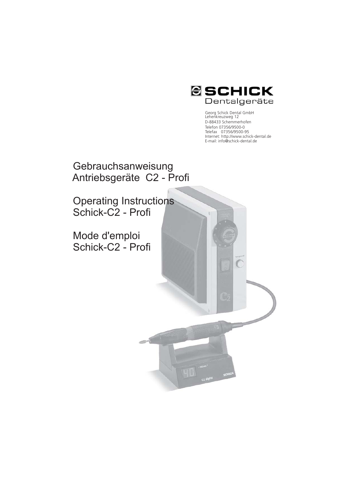

Georg Schick Dental GmbH Lehenkreuzweg 12 D-88433 Schemmerhofen Telefon 07356/9500-0 Telefax 07356/9500-95 Internet: http://www.schick-dental.de E-mail: info@schick-dental.de

 $\overline{C}$ 

**Gebrauchsanweisung** Antriebsgeräte C2 - Profi

Operating Instructions Schick-C2 - Profi

Mode d'emploi Schick-C2 - Profi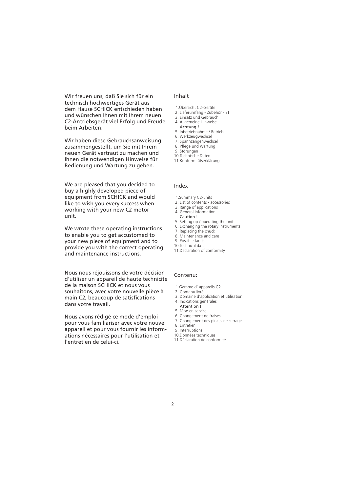Wir freuen uns, daß Sie sich für ein technisch hochwertiges Gerät aus dem Hause SCHICK entschieden haben und wünschen Ihnen mit Ihrem neuen C2-Antriebsgerät viel Erfolg und Freude beim Arbeiten.

Wir haben diese Gebrauchsanweisung zusammengestellt, um Sie mit Ihrem neuen Gerät vertraut zu machen und Ihnen die notwendigen Hinweise für Bedienung und Wartung zu geben.

We are pleased that you decided to buy a highly developed piece of equipment from SCHICK and would like to wish you every success when working with your new C2 motor unit.

We wrote these operating instructions to enable you to get accustomed to your new piece of equipment and to provide you with the correct operating and maintenance instructions.

Nous nous réjouissons de votre décision d'utiliser un appareil de haute technicité de la maison SCHICK et nous vous souhaitons, avec votre nouvelle pièce à main C2, beaucoup de satisfications dans votre travail.

Nous avons rédigé ce mode d'emploi pour vous familiariser avec votre nouvel appareil et pour vous fournir les informations nécessaires pour l'utilisation et l'entretien de celui-ci.

# Inhalt

- 1.Übersicht C2-Geräte
- 2. Lieferumfang Zubehör ET 3. Einsatz und Gebrauch
- 4. Allgemeine Hinweise
- Achtung !
- 5. Inbetriebnahme / Betrieb
- 6. Werkzeugwechsel
- 7. Spannzangenwechsel
- 8. Pflege und Wartung
- 9. Störungen 10.Technische Daten
- 11.Konformitätserklärung
- 

#### Index

- 1.Summary C2-units
- 2. List of contents accessories
- 3. Range of applications
- 4. General information
- Caution !
- 5. Setting up / operating the unit
- 6. Exchanging the rotary instruments
- 7. Replacing the chuck 8. Maintenance and care
- 9. Possible faults
- 10.Technical data
- 11.Declaration of conformity

# Contenu:

- 1.Gamme d' appareils C2
- 2. Contenu livré
- 3. Domaine d'application et utilisation 4. Indications générales
- Attention !
- 5. Mise en service
- 6. Changement de fraises
- 7. Changement des pinces de serrage
- 8. Entretien
	- 9. Interruptions
	- 10.Données techniques 11.Déclaration de conformité
	-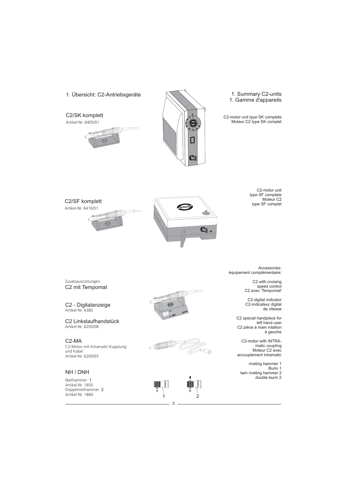1. Übersicht: C2-Antriebsgeräte

C2/SK komplett Artikel-Nr. 6405/01





1. Summary C2-units 1. Gamme d'appareils

C2-motor unit type SK complete Moteur C2 type SK complet





C2-motor unit type SF complete Moteur C2 type SF complet

C2 mit Tempomat Zusatzausrüstungen:

C2 - Digitalanzeige Artikel-Nr. 6380

C2 Linkslaufhandstück Artikel-Nr. 6200/08

C2-MA C2-Motor mit Intramatic-Kupplung und Kabel Artikel-Nr. 6200/03

# NH / DNH

Niethammer 1 Artikel-Nr. 1850 Doppelniethammer Artikel-Nr. 1860 2







Accessories: équipement complémentaire:

> C2 with cruising speed control C2 avec 'Tempomat'

C2-digital indicator C2-indicateur digital de vitesse

C2 special handpiece for left hand user C2 pièce à main rotation à gauche

C2-motor with INTRAmatic coupling Moteur C2 avec accouplement intramatic

riveting hammer 1 Burin 1 twin riveting hammer 2 double-burin 2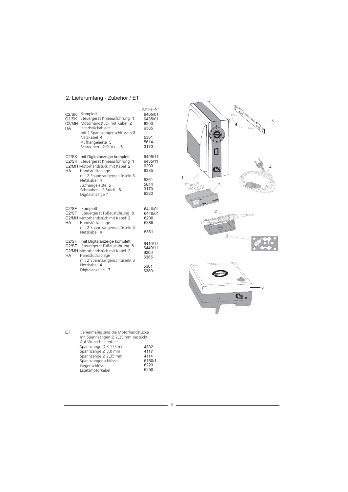# 2. Lieferumfang - Zubehör / ET

| C2/SK<br>C <sub>2</sub> /SK<br>C2/MH<br>НA     | Komplett<br>Steuergerät Knieausführung 1<br>Motorhandstück mit Kabel 2<br>Handstückablage<br>mit 2 Spannzangenschlüsseln 3<br>Netzkabel 4<br>Aufhängeleiste 5<br>Schrauben - 2 Stück - 6                                                  | Artikel-Nr<br>6405/01<br>6435/01<br>6200<br>6385<br>5361<br>5614<br>3170 |
|------------------------------------------------|-------------------------------------------------------------------------------------------------------------------------------------------------------------------------------------------------------------------------------------------|--------------------------------------------------------------------------|
| C <sub>2</sub> /SK<br>C <sub>2</sub> /SK<br>HA | mit Digitalanzeige komplett<br>Steuergerät Knieausführung<br>1<br>C2/MH Motorhandstück mit Kabel 2<br>Handstückablage<br>mit 2 Spannzangenschlüsseln 3<br>Netzkabel 4<br>Aufhängeleiste 5<br>Schrauben - 2 Stück<br>6<br>Digitalanzeige 7 | 6405/11<br>6435/11<br>6200<br>6385<br>5361<br>5614<br>3170<br>6380       |
| C2/SF<br>C <sub>2</sub> /SF<br>HA              | komplett<br>Steuergerät Fußausführung<br>8<br>C2/MH Motorhandstück mit Kabel 2<br>Handstückablage<br>mit 2 Spannzangenschlüsseln 3<br>Netzkabel 4                                                                                         | 6410/01<br>6440/01<br>6200<br>6385<br>5361                               |
| C2/SF<br>C <sub>2</sub> /SF<br>HA              | mit Digitalanzeige komplett<br>Steuergerät Fußausführung 8<br>C2/MH Motorhandstück mit Kabel 2<br>Handstückablage<br>mit 2 Spannzangenschlüsseln 3<br>Netzkabel 4<br>Digitalanzeige 7                                                     | 6410/11<br>6440/11<br>6200<br>6385<br>5361<br>6380                       |

| FT | Serienmäßig sind die Motorhandstücke |        |  |
|----|--------------------------------------|--------|--|
|    | mit Spannzangen Ø 2,35 mm bestückt.  |        |  |
|    | Auf Wunsch lieferbar:                |        |  |
|    | Spannzange Ø 3,175 mm                | 4332   |  |
|    | Spannzange Ø 3,0 mm                  | 4117   |  |
|    | Spannzange Ø 2,35 mm                 | 4114   |  |
|    | Spannzangenschlüssel                 | 5160/1 |  |
|    | Gegenschlüssel                       | 6223   |  |
|    | Ersatzmotorkabel                     | 6250   |  |



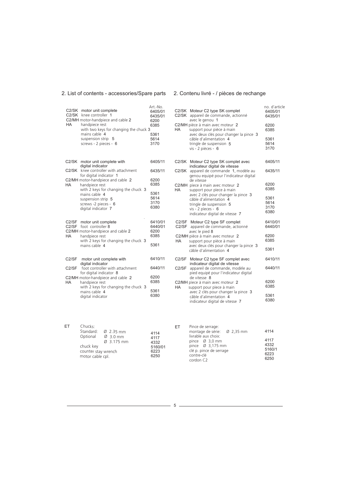#### 2. List of contents - accessories/Spare parts 2. Contenu livré - / pièces de rechange

| C2/SK<br>HA          | C2/SK motor unit complete<br>knee controller 1<br>C2/MH motor-handpiece and cable 2<br>handpiece rest<br>with two keys for changing the chuck 3<br>mains cable 4<br>suspension strip 5<br>screws - 2 pieces - 6 | Art.-No.<br>6405/01<br>6435/01<br>6200<br>6385<br>5361<br>5614<br>3170 |
|----------------------|-----------------------------------------------------------------------------------------------------------------------------------------------------------------------------------------------------------------|------------------------------------------------------------------------|
|                      | C2/SK motor unit complete with                                                                                                                                                                                  | 6405/11                                                                |
|                      | digital indicator<br>C2/SK knee controller with attachment                                                                                                                                                      | 6435/11                                                                |
| HA                   | for digital indicator 1<br>C2/MH motor-handpiece and cable 2<br>handpiece rest<br>with 2 keys for changing the chuck 3                                                                                          | 6200<br>6385                                                           |
|                      | mains cable 4<br>suspension strip 5<br>screws -2 pieces - 6<br>digital indicator 7                                                                                                                              | 5361<br>5614<br>3170<br>6380                                           |
| C2/SF<br>C2/SF<br>HA | motor unit complete<br>foot controller 8<br>C2/MH motor-handpiece and cable 2<br>handpiece rest<br>with 2 keys for changing the chuck 3                                                                         | 6410/01<br>6440/01<br>6200<br>6385                                     |
|                      | mains cable 4                                                                                                                                                                                                   | 5361                                                                   |
| C <sub>2</sub> /SF   | motor unit complete with<br>digital indicator                                                                                                                                                                   | 6410/11                                                                |
| C2/SF                | foot controller with attachment                                                                                                                                                                                 | 6440/11                                                                |
| HA                   | for digital indicator 8<br>C2/MH motor-handpiece and cable 2<br>handpiece rest                                                                                                                                  | 6200<br>6385                                                           |
|                      | with 2 keys for changing the chuck 3<br>mains cable 4<br>digital indicator                                                                                                                                      | 5361<br>6380                                                           |

| C2/SK<br>НA | C2/SK Moteur C2 type SK complet<br>appareil de commande, actionné<br>avec le genou 1<br>C2/MH pièce à main avec moteur 2<br>support pour pièce à main<br>avec deux clés pour changer la pince 3<br>câble d'alimentation 4<br>tringle de suspension 5<br>vis - 2 pièces - 6 | no. d'article<br>6405/01<br>6435/01<br>6200<br>6385<br>5361<br>5614<br>3170 |
|-------------|----------------------------------------------------------------------------------------------------------------------------------------------------------------------------------------------------------------------------------------------------------------------------|-----------------------------------------------------------------------------|
| C2/SK       | Moteur C2 type SK complet avec                                                                                                                                                                                                                                             | 6405/11                                                                     |
| C2/SK       | indicateur digital de vitesse<br>appareil de commande 1, modèle au<br>genou equipé pour l'indicateur digital                                                                                                                                                               | 6435/11                                                                     |
| НA          | de vitesse<br>C2/MH piece à main avec moteur 2<br>support pour piece à main                                                                                                                                                                                                | 6200<br>6385                                                                |
|             | avec 2 clés pour changer la pince 3<br>câble d'alimentation 4<br>tringle de suspension 5<br>vis - 2 pieces - $6$<br>indicateur digital de vitesse 7                                                                                                                        | 5361<br>5614<br>3170<br>6380                                                |
| C2/SF       | C2/SF Moteur C2 type SF complet<br>appareil de commande, actionné<br>avec le pied 8                                                                                                                                                                                        | 6410/01<br>6440/01                                                          |
| HA          | C2/MH pièce à main avec moteur 2<br>support pour pièce à main                                                                                                                                                                                                              | 6200<br>6385                                                                |
|             | avec deux clés pour changer la pince 3<br>câble d'alimentation 4                                                                                                                                                                                                           | 5361                                                                        |
| C2/SF       | Moteur C2 type SF complet avec<br>indicateur digital de vitesse                                                                                                                                                                                                            | 6410/11                                                                     |
| C2/SF       | appareil de commande, modèle au<br>pied equipé pour l'indicateur digital<br>de vitesse 8                                                                                                                                                                                   | 6440/11                                                                     |
| HA          | C2/MH piece à main avec moteur 2<br>support pour plece à main                                                                                                                                                                                                              | 6200<br>6385                                                                |
|             | avec 2 clés pour changer la pince 3<br>câble d'alimentation 4<br>indicateur digital de vitesse 7                                                                                                                                                                           | 5361<br>6380                                                                |

| ET. | Chucks:<br>Optional<br>chuck key<br>counter stay wrench<br>motor cable cpl. | Standard: $\varnothing$ 2.35 mm<br>Ø 3.0 mm<br>Ø 3.175 mm | 4114<br>4117<br>4332<br>5160/01<br>6223<br>6250 | ET | Pince de serrage:<br>montage de série<br>livrable aux choix<br>pince $\varnothing$ 3,0 m<br>pince Ø 3,175<br>clé p. pince de se<br>contre-clé |
|-----|-----------------------------------------------------------------------------|-----------------------------------------------------------|-------------------------------------------------|----|-----------------------------------------------------------------------------------------------------------------------------------------------|
|-----|-----------------------------------------------------------------------------|-----------------------------------------------------------|-------------------------------------------------|----|-----------------------------------------------------------------------------------------------------------------------------------------------|

| ا : | Pince de serrage:<br>montage de série: Ø 2,35 mm                                                                            | 4114                                   |
|-----|-----------------------------------------------------------------------------------------------------------------------------|----------------------------------------|
|     | livrable aux choix:<br>pince $\varnothing$ 3,0 mm<br>pince Ø 3,175 mm<br>clé p. pince de serrage<br>contre-clé<br>cordon C2 | 4117<br>4332<br>5160/1<br>6223<br>6250 |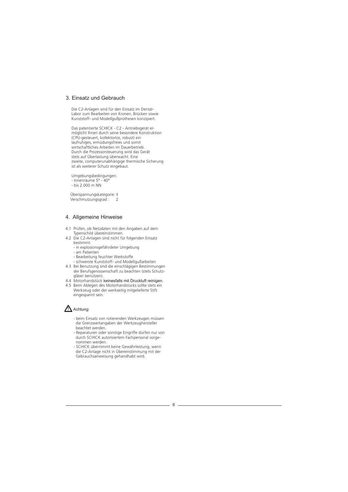#### 3. Einsatz und Gebrauch

Die C2-Anlagen sind für den Einsatz im Dental-Labor zum Bearbeiten von Kronen, Brücken sowie Kunststoff- und Modellgußprothesen konzipiert.

Das patentierte SCHICK - C2 - Antriebsgerät ermöglicht Ihnen durch seine besondere Konstruktion (CPU-gesteuert, kollektorlos, robust) ein laufruhiges, ermüdungsfreies und somit wirtschaftliches Arbeiten im Dauerbetrieb. Durch die Prozessorsteuerung wird das Gerät stets auf Überlastung überwacht. Eine zweite, computerunabhängige thermische Sicherung ist als weiterer Schutz eingebaut.

Umgebungsbedingungen: - Innenräume 5° - 40° - bis 2.000 m NN

Überspannungskategorie: II Verschmutzungsgrad : 2

# 4. Allgemeine Hinweise

- 4.1 Prüfen, ob Netzdaten mit den Angaben auf dem Typenschild übereinstimmen.
- 4.2 Die C2-Anlagen sind nicht für folgenden Einsatz bestimmt:
	- in explosionsgefährdeter Umgebung
	- am Patienten
	- Bearbeitung feuchter Werkstoffe
	- schwerste Kunststoff- und Modellgußarbeiten
- 4.3 Bei Benutzung sind die einschlägigen Bestimmungen der Berufsgenossenschaft zu beachten (stets Schutzgläser benutzen).
- 4.4 Motorhandstück keinesfalls mit Druckluft reinigen.
- 4.5 Beim Ablegen des Motorhandstücks sollte stets ein Werkzeug oder der werkseitig mitgelieferte Stift eingespannt sein.

#### **X** Achtung:

- beim Einsatz von rotierenden Werkzeugen müssen die Grenzwertangaben der Werkzeughersteller beachtet werden.
- Reparaturen oder sonstige Eingriffe dürfen nur von durch SCHICK autorisiertem Fachpersonal vorgenommen werden.
- SCHICK übernimmt keine Gewährleistung, wenn die C2-Anlage nicht in Übereinstimmung mit der Gebrauchsanweisung gehandhabt wird.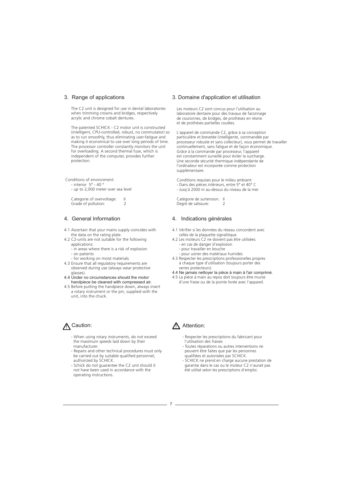# 3. Range of applications

The C2 unit is designed for use in dental laboratories when trimming crowns and bridges, respectively acrylic and chrome cobalt dentures.

The patented SCHICK - C2 motor unit is constructed (intelligent, CPU-controlled, robust, no commutator) so as to run smoothly, thus eliminating user-fatigue and making it economical to use over long periods of time. The processor controller constantly monitors the unit for overloading. A second thermal fuse, which is independent of the computer, provides further protection.

Conditions of environment: - interior 5° - 40 ° - up to 2,000 meter over sea level

Categorie of overvoltage: II Grade of pollution:

# 4. General Information

- 4.1 Ascertain that your mains supply coincides with the data on the rating plate.
- 4.2 C2-units are not suitable for the following applications:
	- in areas where there is a risk of explosion - on patients
	- for working on moist materials
- 4.3 Ensure that all regulatory requirements are observed during use (always wear protective glasses).
- 4.4 Under no circumstances should the motor handpiece be cleaned with compressed air.
- 4.5 Before putting the handpiece down, always insert a rotary instrument or the pin, supplied with the unit, into the chuck.

# $\Lambda$  Caution:  $\Lambda$

- When using rotary instruments, do not exceed the maximum speeds laid down by their manufacturer.
- Repairs and other technical procedures must only be carried out by suitable qualified personnel, authorized by SCHICK.
- Schick do not guarantee the C2 unit should it not have been used in accordance with the operating instructions.

#### 3. Domaine d'application et utilisation

Les moteurs C2 sont concus pour l'utilisation au laboratoire dentaire pour des travaux de faconnage de couronnes, de bridges, de prothèses en résine et de prothèses partielles coulées.

L'appareil de commande C2, grâce à sa conception particulière et brevetée (intelligente, commandée par processeur robuste et sans collecteur), vous permet de travailler continuellement, sans fatigue et de façon économique. Grâce à la commande par processeur, l'appareil est constamment surveillé pour éviter la surcharge. Une seconde sécurité thermique indépendante de l'ordinateur est incorporée comme protection supplémentaire.

Conditions requises pour le milieu ambiant: - Dans des pièces intérieurs, entre 5° et 40° C - Jusq'à 2000 m au-dessus du niveau de la mer

Catégorie de surtension: Il Degré de salissure: 2

#### 4. Indications générales

- 4.1 Vérifier si les données du réseau concordent avec celles de la plaquette signalitique.
- 4.2 Les moteurs C2 ne doivent pas être utilisées: - en cas de danger d'explosion
	- pour travailler en bouche
- pour usiner des matériaux humides 4.3 Respecter les prescriptions professionelles propres
- à chaque type d'utilisation (toujours porter des verres protecteurs).
- 4.4 Ne jamais nettoyer la pièce à main à l'air comprimé. 4.5 La pièce à main au repos doit toujours être munie d'une fraise ou de la pointe livrée avec l'appareil.

# Attention:

- Respecter les prescriptions du fabricant pour l'utilisation des fraises
- Toutes réparations ou autres interventions ne peuvent être faites que par les personnes qualifiées et autorisées par SCHICK.
- SCHICK ne prend en charge aucune prestation de garantie dans le cas ou le moteur C2 n'aurait pas été utilisé selon les prescriptions d'emploi.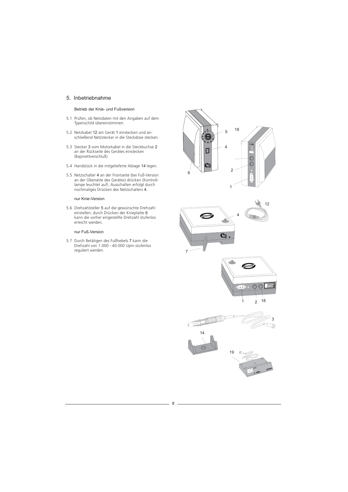#### 5. Inbetriebnahme

#### Betrieb der Knie- und Fußversion

- 5.1 Prüfen, ob Netzdaten mit den Angaben auf dem Typenschild übereinstimmen.
- 5.2 Netzkabel 12 am Gerät 1 einstecken und anschließend Netzstecker in die Steckdose stecken.
- 5.3 Stecker 3 vom Motorkabel in die Steckbuchse an der Rückseite des Gerätes einstecken (Bajonettverschluß). 3 vom Motorkabel in die Steckbuchse 2
- 5.4 Handstück in die mitgelieferte Ablage 14 legen.
- 5.5 Netzschalter 4 an der Frontseite (bei Fuß-Version an der Oberseite des Gerätes) drücken (Kontrolllampe leuchtet auf). Ausschalten erfolgt durch nochmaliges Drücken des Netzschalters 4. 4

#### nur Knie-Version

5.6 Drehzahlsteller 5 auf die gewünschte Drehzahl einstellen; durch Drücken der Knieplatte 6 kann die vorher eingestellte Drehzahl stufenlos erreicht werden.

#### nur Fuß-Version

5.7 Durch Betätigen des Fußhebels 7 kann die Drehzahl von 1.000 - 40.000 Upm stufenlos reguliert werden. 7







 $c - 1$ 

 $x = 100$ 

**BCARCH** 





8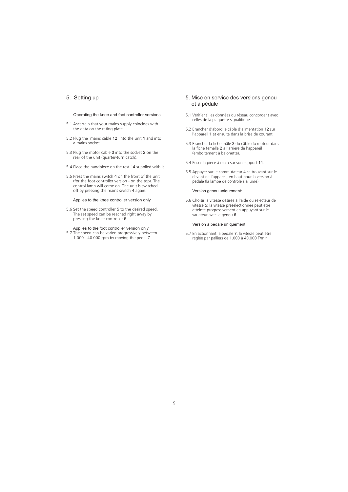# 5. Setting up

#### Operating the knee and foot controller versions

- 5.1 Ascertain that your mains supply coincides with the data on the rating plate.
- 5.2 Plug the mains cable  $12$  into the unit 1 and into a mains socket.
- 5.3 Plug the motor cable 3 into the socket 2 on the rear of the unit (quarter-turn catch).
- 5.4 Place the handpiece on the rest 14 supplied with it.
- 5.5 Press the mains switch 4 on the front of the unit (for the foot controller version - on the top). The control lamp will come on. The unit is switched off by pressing the mains switch 4 again.

#### Applies to the knee controller version only

- 5.6 Set the speed controller 5 to the desired speed. The set speed can be reached right away by pressing the knee controller 6.
- Applies to the foot controller version only<br>5.7 The speed can be varied progressively between  $1.000 - 40.000$  rpm by moving the pedal  $7.$

#### 5. Mise en service des versions genou et à pédale

- 5.1 Vérifier si les données du réseau concordent avec celles de la plaquette signalitique.
- 5.2 Brancher d'abord le câble d'alimentation 12 sur l'appareil 1 et ensuite dans la brise de courant.
- 5.3 Brancher la fiche mâle 3 du câble du moteur dans la fiche femelle 2 à l'arrière de l'appareil (emboitement à baionette). 3 2
- 5.4 Poser la pièce à main sur son support 14.
- 5.5 Appuyer sur le commutateur 4 se trouvant sur le devant de l'appareil, en haut pour la version à pédale (la lampe de côntrole s'allume).

#### Version genou uniquement:

5.6 Choisir la vitesse désirée à l'aide du sélecteur de vitesse 5; la vitesse préselectionnée peut être atteinte progressivement en appuyant sur le variateur avec le genou 6.

#### Version à pédale uniquement:

5.7 En actionnant la pédale 7, la vitesse peut être réglée par palliers de 1.000 à 40.000 T/min.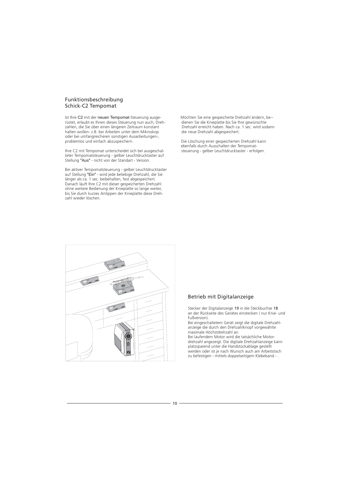#### Funktionsbeschreibung Schick-C2 Tempomat

Ist Ihre C2 mit der neuen Tempomat-Steuerung ausge- Möchten Sie eine gespeicherte Drehzahl ändern, be-rüstet, erlaubt es Ihnen dieses Steuerung nun auch, Dreh- dienen Sie die Knieplatte bis Sie Ihre gewünschte zahlen, die Sie über einen längeren Zeitraum konstant Namen Drehzahl erreicht haben. Nach ca. 1 sec. wird sodann halten wollen- z.B. bei Arbeiten unter dem Mikroskop die neue Drehzahl abgespeichert. oder bei umfangreicheren sonstigen Ausarbeitungen-, C2 mit der neuen Tempomat

Ihre C2 mit Tempomat unterscheidet sich bei ausgeschalteter Tempomatsteuerung - gelber Leuchtdrucktaster auf Stellung "Aus" - nicht von der Standart - Version.

Bei aktiver Tempomatsteuerung - gelber Leuchtdrucktaster auf Stellung "Ein" - wird jede beliebige Drehzahl, die Sie länger als ca. 1 sec. beibehalten, fest abgespeichert. Danach läuft Ihre C2 mit dieser gespeicherten Drehzahl ohne weitere Bedienung der Knieplatte so lange weiter, bis Sie durch kurzes Antippen der Knieplatte diese Drehzahl wieder löschen. "Ein"

Die Löschung einer gespeicherten Drehzahl kann ebenfalls durch Ausschalten der Tempomat-<br>steuerung - gelber Leuchtdrucktaster - erfolgen.



# Betrieb mit Digitalanzeige

Stecker der Digitalanzeige 19 in die Steckbuchse 18 an der Rückseite des Gerätes einstecken ( nur Knie- und Fußversion).

Bei eingeschaltetem Gerät zeigt die digitale Drehzahlanzeige die durch den Drehzahlknopf vorgewählte maximale Höchstdrehzahl an.

Bei laufendem Motor wird die tatsächliche Motordrehzahl angezeigt. Die digitale Drehzahlanzeige kann platzsparend unter die Handstückablage gestellt werden oder ist je nach Wunsch auch am Arbeitstisch zu befestigen - mittels doppelseitigem Klebeband - .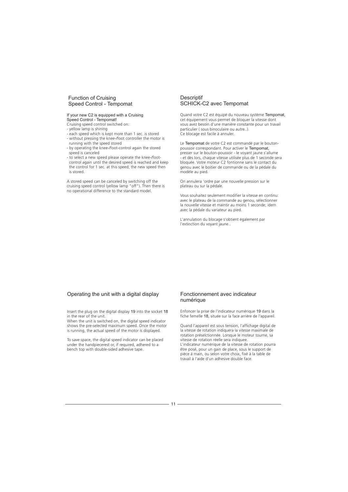#### Function of Cruising Speed Control - Tempomat

#### If your new C2 is equipped with a Cruising Speed Control - Tempomat!

- Cruising speed control switched on:
- yellow lamp is shining
- each speed which is kept more than 1 sec. is stored
- without pressing the knee-/foot controller the motor is
- running with the speed stored - by operating the knee-/foot-control again the stored speed is canceled
- to select a new speed please operate the knee-/footcontrol again until the desired speed is reached and keep the control for 1 sec. at this speed; the new speed then is stored.

A stored speed can be canceled by switching off the cruising speed control (yellow lamp "off"). Then there is no operational difference to the standard model.

#### **Descriptif** SCHICK-C2 avec Tempomat

Quand votre C2 est équipé du nouveau système Tempomat, cet équipement vous permet de bloquer la vitesse dont vous avez besoin d'une manière constante pour un travail particulier ( sous binoculaire ou autre..). Ce blocage est facile à annuler.

Le Tempomat de votre C2 est commandé par le boutonpoussoir correspondant. Pour activer le Tempomat, presser sur le bouton-poussoir - le voyant jaune s'allume - et dès lors, chaque vitesse utilisée plus de 1 seconde sera bloquée. Votre moteur C2 fontionne sans le contact du genou avec le boitier de commande ou de la pédale du modèle au pied. **Tempomat** 

On annulera 'ordre par une nouvelle pression sur le plateau ou sur la pédale.

Vous souhaitez seulement modifier la vitesse en continu: avec le plateau de la commande au genou, sélectionner la nouvelle vitesse et maintir au moins 1 seconde; idem avec la pédale du variateur au pied.

L'annulation du blocage s'obtient également par l'extinction du voyant jaune..

#### Operating the unit with a digital display

Insert the plug on the digital display 19 into the socket 18 in the rear of the unit.

When the unit is switched on, the digital speed indicator shows the pre-selected maximum speed. Once the motor is running, the actual speed of the motor is displayed.

To save space, the digital speed indicator can be placed under the handpiecerest or, if required, adhered to a bench top with double-sided adhesive tape.

#### Fonctionnement avec indicateur numérique

Enfoncer la prise de l'indicateur numérique 19 dans la fiche femelle 18, située sur la face arrière de l'appareil.

Quand l'appareil est sous tension, l'affichage digital de la vitesse de rotation indiquera la vitesse maximale de rotation préselctionnée. Lorsque le moteur tourne, sa vitesse de rotation réelle sera indiquee. L'indicateur numérique de la vitesse de rotation pourra

être posé, pour un gain de place, sous le support de pièce á main, ou selon votre choix, fixé à la table de travail à l'aide d'un adhesive double face.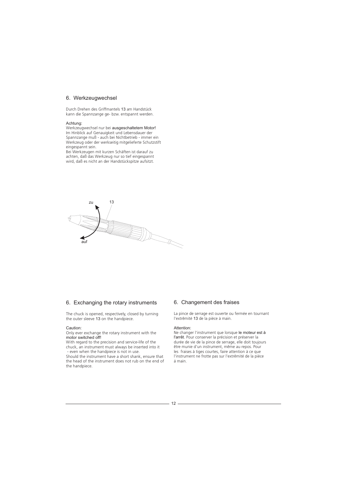#### 6. Werkzeugwechsel

Durch Drehen des Griffmantels 13 am Handstück kann die Spannzange ge- bzw. entspannt werden.

#### Achtung:

Werkzeugwechsel nur bei ausgeschaltetem Motor! Im Hinblick auf Genauigkeit und Lebensdauer der Spannzange muß - auch bei Nichtbetrieb - immer ein Werkzeug oder der werkseitig mitgelieferte Schutzstift eingespannt sein.

Bei Werkzeugen mit kurzen Schäften ist darauf zu achten, daß das Werkzeug nur so tief eingespannt wird, daß es nicht an der Handstückspitze aufsitzt.



# 6. Exchanging the rotary instruments

The chuck is opened, respectively, closed by turning the outer sleeve 13 on the handpiece.

#### Caution:

Only ever exchange the rotary instrument with the motor switched off!

With regard to the precision and service-life of the chuck, an instrument must always be inserted into it - even when the handpiece is not in use.

Should the instrument have a short shank, ensure that the head of the instrument does not rub on the end of the handpiece.

# 6. Changement des fraises

La pince de serrage est ouverte ou fermée en tournant l'extrêmité 13 de la pièce à main.

#### Attention:

Ne changer l'instrument que lorsque le moteur est à l'arrêt. Pour conserver la précision et préserver la durée de vie de la pince de serrage, elle doit toujours être munie d'un instrument, même au repos. Pour les fraises à tiges courtes, faire attention à ce que l'instrument ne frotte pas sur l'extrêmité de la pièce á main.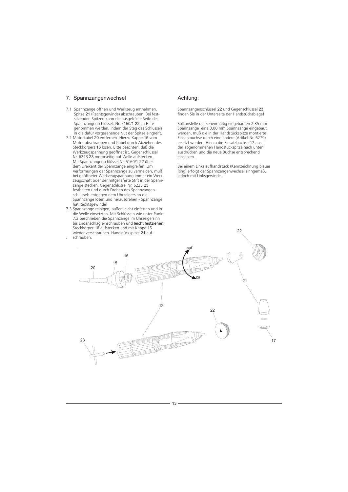#### 7. Spannzangenwechsel

- Spitze 21 (Rechtsgewinde) abschrauben. Bei fest-22 7.1 Spannzange öffnen und Werkzeug entnehmen. sitzenden Spitzen kann die ausgefräste Seite des Spannzangenschlüssels Nr. 5160/1 22 zu Hilfe genommen werden, indem der Steg des Schlüssels in die dafür vorgesehende Nut der Spitze eingreift.
- 7.2 Motorkabel 20 entfernen. Hierzu Kappe 15 vom Steckkörpers 16 lösen. Bitte beachten, daß die Nr. 6223 23 motorseitig auf Welle aufstecken. Mit Spannzangenschlüssel Nr. 5160/1 22 über zange stecken. Gegenschlüssel Nr. 6223 23 Motor abschrauben und Kabel durch Abziehen des Werkzeugspannung geöffnet ist. Gegenschlüssel dem Dreikant der Spannzange eingreifen. Um Verformungen der Spannzange zu vermeiden, muß bei geöffneter Werkzeugspannung immer ein Werkzeugschaft oder der mitgelieferte Stift in der Spannfesthalten und durch Drehen des Spannzangenschlüssels entgegen dem Uhrzeigersinn die Spannzange lösen und herausdrehen - Spannzange hat Rechtsgewinde!
- bis Endanschlag einschrauben und leicht festziehen. Steckkörper 16 aufstecken und mit Kappe 15 wieder verschrauben. Handstückspitze 21 auf-7.3 Spannzange reinigen, außen leicht einfetten und in die Welle einsetzten. Mit Schlüsseln wie unter Punkt 7.2 beschrieben die Spannzange im Uhrzeigersinn . schrauben.

#### Achtung:

Spannzangenschlüssel 22 und Gegenschlüssel 23 finden Sie in der Unterseite der Handstückablage!

Soll anstelle der serienmäßig eingebauten 2,35 mm Spannzange eine 3,00 mm Spannzange eingebaut werden, muß die in der Handstückspitze montierte Einsatzbuchse durch eine andere (Artikel-Nr. 6279) ersetzt werden. Hierzu die Einsatzbuchse 17 aus der abgenommenen Handstückspitze nach unten ausdrücken und die neue Buchse entsprechend einsetzen.

Bei einem Linkslaufhandstück (Kennzeichnung blauer Ring) erfolgt der Spannzangenwechsel sinngemäß, jedoch mit Linksgewinde.

 $22$ 



13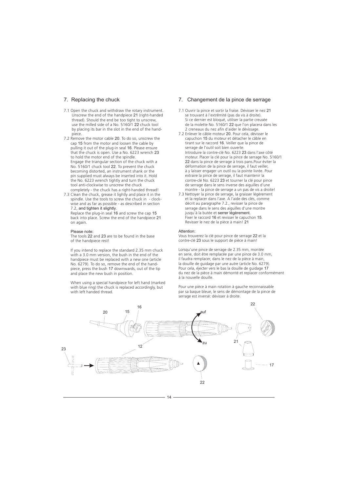### 7. Replacing the chuck

- 7.1 Open the chuck and withdraw the rotary instrument.<br>Unscrew the end of the handpiece 21 (right-handed thread). Should the end be too tight to unscrew, use the milled side of a No. 5160/1 22 chuck tool by placing its bar in the slot in the end of the handpiece.
- 7.2 Remove the motor cable 20. To do so, unscrew the cap 15 from the motor and loosen the cable by pulling it out of the plug-in seal 16. Please ensure that the chuck is open. Use a No. 6223 wrench 23 to hold the motor end of the spindle. Engage the triangular section of the chuck with a No. 5160/1 chuck tool 22. To prevent the chuck becoming distorted, an instrument shank or the pin supplied must always be inserted into it. Hold the No. 6223 wrench tightly and turn the chuck tool anti-clockwise to unscrew the chuck
- completely the chuck has a right-handed thread! 7.3 Clean the chuck, grease it lightly and place it in the spindle. Use the tools to screw the chuck in - clock-wise and as far as possible - as described in section 7.2, and tighten it slightly.

Replace the plug-in seal 16 and screw the cap 15 back into place. Screw the end of the handpiece 21 on again.

#### Please note:

The tools 22 and 23 are to be found in the base of the handpiece rest!

If you intend to replace the standard 2.35 mm chuck with a 3.0 mm version, the bush in the end of the handpiece must be replaced with a new one (article No. 6279). To do so, remove the end of the handpiece, press the bush 17 downwards, out of the tip and place the new bush in position.

When using a special handpiece for left hand (marked with blue ring) the chuck is replaced accordingly, but with left handed thread.

# 7. Changement de la pince de serrage

- 7.1 Ouvrir la pince et sortir la fraise. Dévisser le nez se trouvant à l'extrêmité (pas da vis à droite). 21 Si ce dernier est bloqué, utiliser la partie creusée de la molette No. 5160/1 22 que l'on placera dans les 2 creneaux du nez afin d'aider le dévissage.
- 7.2 Enlever le câble moteur 20. Pour cela, dévisser le capuchon 15 du moteur et détacher le câble en tirant sur le raccord 16. Veiller que la pince de serrage de l'outil soit bien ouverte. Introduire la contre-clé No. 6223 23 dans l'axe côté moteur. Placer la clé pour la pince de serrage No. 5160/1 22 dans la pince de serrage à trois pans.Pour éviter la déformation de la pince de serrage, il faut veiller, à y laisser engager un outil ou la pointe livrée. Pour extraire la pince de serrage, il faut maintenir la contre-clé No. 6223 23 et tourner la clé pour pince de serrage dans le sens inverse des aiguilles d'une montre - la pince de serrage a un pas de vis a droite!
- 7.3 Nettoyer la pince de serrage, la graisser légèrement et la replacer dans l'axe. A l'aide des clés, comme décrit au paragraphe 7.2., revisser la pince de serrage dans le sens des aiguilles d'une montre jusqu'à la butée et serrer légèrement. Fixer le raccord 16 et revisser le capuchon 15. Revisser le nez de la pièce à main! 21

#### Attention:

Vous trouverez la clé pour pince de serrage 22 et la contre-clé 23 sous le support de pièce à main!

Lorsqu'une pince de serrage de 2.35 mm, montée en serie, doit être remplacée par une pince de 3.0 mm, il faudra remplacer, dans le nez de la pièce à main, la douille de guidage par une autre (article No. 6279). Pour cela, éjecter vers le bas la douille de guidage 17 du nez de la pièce à main démonté et replacer conformément à la nouvelle douille.

Pour une pièce à main rotation à gauche reconnaissable par sa baque bleue, le sens de démontage de la pince de serrage est inversé: dévisser à droite.

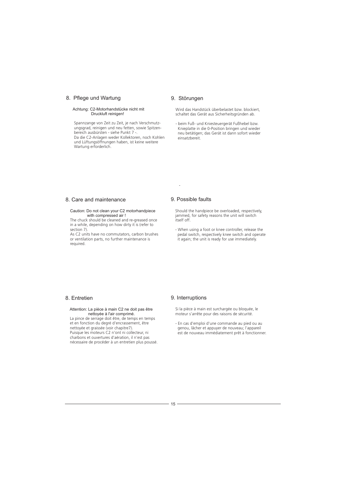### 8. Pflege und Wartung

# Achtung: C2-Motorhandstücke nicht mit Druckluft reinigen!

Spannzange von Zeit zu Zeit, je nach Verschmutzungsgrad, reinigen und neu fetten, sowie Spitzenbereich ausbürsten - siehe Punkt 7 -. Da die C2-Anlagen weder Kollektoren, noch Kohlen und Lüftungsöffnungen haben, ist keine weitere Wartung erforderlich.

#### 9. Störungen

Wird das Handstück überbelastet bzw. blockiert, schaltet das Gerät aus Sicherheitsgründen ab.

- beim Fuß- und Kniesteuergerät Fußhebel bzw. Knieplatte in die 0-Position bringen und wieder neu betätigen; das Gerät ist dann sofort wieder einsatzbereit.

### 8. Care and maintenance

# Caution: Do not clean your C2 motorhandpiece with compressed air !

The chuck should be cleaned and re-greased once in a while, depending on how dirty it is (refer to section 7).

As C2 units have no commutators, carbon brushes or ventilation parts, no further maintenance is required.

#### 9. Possible faults

-

Should the handpiece be overloaded, respectively, jammed, for safety reasons the unit will switch itself off.

- When using a foot or knee controller, release the pedal switch, respectively knee switch and operate it again; the unit is ready for use immediately.

# 8. Entretien

# nettoyée à l'air comprimé.<br>La pince de serrage doit être, de temps en temps Attention: La pièce à main C2 ne doit pas être

et en fonction du degré d'encrassement, être nettoyée et graissée (voir chapitre7). Puisque les moteurs C2 n'ont ni collecteur, ni charbons et ouvertures d'aération, il n'est pas nécessaire de procéder à un entretien plus poussé.

#### 9. Interruptions

Si la pièce à main est surchargée ou bloquée, le moteur s'arrête pour des raisons de sécurité.

- En cas d'emploi d'une commande au pied ou au genou, lâcher et appuyer de nouveau; l'appareil est de nouveau immédiatement prêt à fonctionner.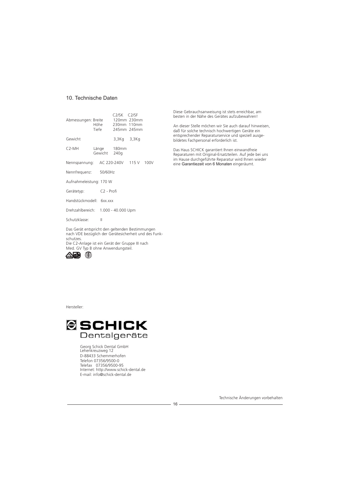#### 10. Technische Daten

| Nennspannung:            |  |                        |                             |                                                                                                                                                                                                   |
|--------------------------|--|------------------------|-----------------------------|---------------------------------------------------------------------------------------------------------------------------------------------------------------------------------------------------|
| Nennfrequenz: 50/60Hz    |  |                        |                             |                                                                                                                                                                                                   |
| Aufnahmeleistung: 170 W  |  |                        |                             |                                                                                                                                                                                                   |
| Gerätetyp:               |  | C <sub>2</sub> - Profi |                             |                                                                                                                                                                                                   |
| Handstückmodell: 6xx.xxx |  |                        |                             |                                                                                                                                                                                                   |
|                          |  |                        |                             |                                                                                                                                                                                                   |
|                          |  |                        | Länge 180mm<br>Gewicht 240g | C <sub>2</sub> /SK C <sub>2</sub> /SF<br>Abmessungen: Breite 120mm 230mm<br>Höhe 230mm 110mm<br>Tiefe 245mm 245mm<br>3,3Kg 3,3Kg<br>AC 220-240V 115 V 100V<br>Drehzahlbereich: 1.000 - 40.000 Upm |

Schutzklasse: II

Das Gerät entspricht den geltenden Bestimmungen nach VDE bezüglich der Gerätesicherheit und des Funkschutzes. Die C2-Anlage ist ein Gerät der Gruppe III nach Med. GV Typ B ohne Anwendungsteil.



Diese Gebrauchsanweisung ist stets erreichbar, am besten in der Nähe des Gerätes aufzubewahren!

An dieser Stelle möchen wir Sie auch darauf hinweisen, daß für solche technisch hochwertigen Geräte ein entsprechender Reparaturservice und speziell ausgebildetes Fachpersonal erforderlich ist.

Das Haus SCHICK garantiert Ihnen einwandfreie Reparaturen mit Original-Ersatzteilen. Auf jede bei uns im Hause durchgeführte Reparatur wird Ihnen wieder eine Garantiezeit von 6 Monaten eingeräumt.

Hersteller:



Georg Schick Dental GmbH Lehenkreuzweg 12 D-88433 Schemmerhofen Telefon 07356/9500-0 Telefax 07356/9500-95 Internet: http://www.schick-dental.de E-mail: info@schick-dental.de

Technische Änderungen vorbehalten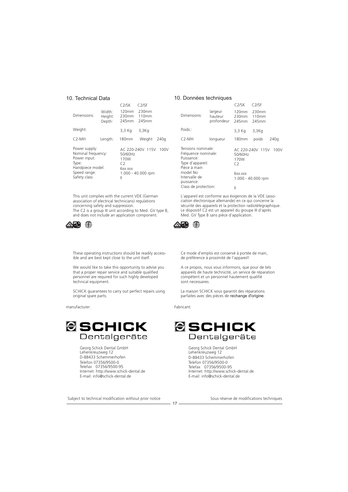#### 10. Technical Data

|                                                                                                                  |                             | C2/SK                                            | C2/SE                                          |
|------------------------------------------------------------------------------------------------------------------|-----------------------------|--------------------------------------------------|------------------------------------------------|
| Dimensions:                                                                                                      | Width:<br>Height:<br>Depth: | 120mm<br>230mm<br>245mm                          | 230mm<br>110mm<br>245mm                        |
| Weight:                                                                                                          |                             | 3,3 Kg                                           | 3,3Kq                                          |
| $C2-MH$                                                                                                          | Length:                     | <b>180mm</b>                                     | Weight<br>240a                                 |
| Power supply:<br>Nominal frequency:<br>Power input:<br>Type:<br>Handpiece model:<br>Speed range:<br>Safety class |                             | 50/60Hz<br>170W<br>$\mathcal{C}$<br>6xx.xxx<br>Ш | AC 220-240V 115V<br>100V<br>1.000 - 40.000 rpm |

This unit complies with the current VDE (German association of electrical technicians) regulations concerning safety and suppression. The C2 is a group III unit according to Med. GV type B, and does not include an application component.



These operating instructions should be readily accessible and are best kept close to the unit itself.

We would like to take this opportunity to advise you that a proper repair service and suitable qualified personnel are required for such highly developed technical equipment.

SCHICK guarantees to carry out perfect repairs using original spare parts.

manufacturer:



Georg Schick Dental GmbH Lehenkreuzweg 12 D-88433 Schemmerhofen Telefon 07356/9500-0 Telefax 07356/9500-95 Internet: http://www.schick-dental.de E-mail: info@schick-dental.de

Subject to technical modification without prior notice Sous réserve de modifications techniques

#### 10. Données techniques

|                                                                                             |                                        | C2/SK                 | C2/SF                   |      |
|---------------------------------------------------------------------------------------------|----------------------------------------|-----------------------|-------------------------|------|
| Dimensions:                                                                                 | largeur<br>hauteur<br>profondeur 245mm | 120mm<br>230mm        | 230mm<br>110mm<br>245mm |      |
| Poids::                                                                                     |                                        | 3,3 Kg                | $3,3$ Kg                |      |
| $C2-MH$                                                                                     | longueur                               | 180mm                 | poids                   | 240a |
| Tensions nominale:<br>Fréquence nominale:<br>Puissance:<br>Type d'appareil:<br>Pièce à main |                                        | 50/60Hz<br>170W<br>C2 | AC 220-240V 115V        | 100V |
| model No<br>Intervalle de<br>puissance:                                                     | 6xx.xxx                                | 1.000 - 40.000 rpm    |                         |      |
| Class de protection:                                                                        | Ш                                      |                       |                         |      |

L'appareil est conforme aux éxigences de la VDE (association électronique allemande) en ce qui concerne la sécurité des appareils et la protection radiotélegraphique. Le dispositif C2 est un appareil du groupe III d'après Med. GV Type B sans pièce d'application.



Ce mode d'emploi est conservé à portée de main, de préférence à proximité de l'appareil!

A ce propos, nous vous informons, que pour de tels appareils de haute technicité, un service de réparation compétent et un personnel hautement qualifié sont necessaires.

La maison SCHICK vous garantit des réparations parfaites avec des pièces de rechange d'origine.

Fabricant:

 $17 -$ 



Georg Schick Dental GmbH Lehenkreuzweg 12 D-88433 Schemmerhofen Telefon 07356/9500-0 Telefax 07356/9500-95 Internet: http://www.schick-dental.de E-mail: info@schick-dental.de